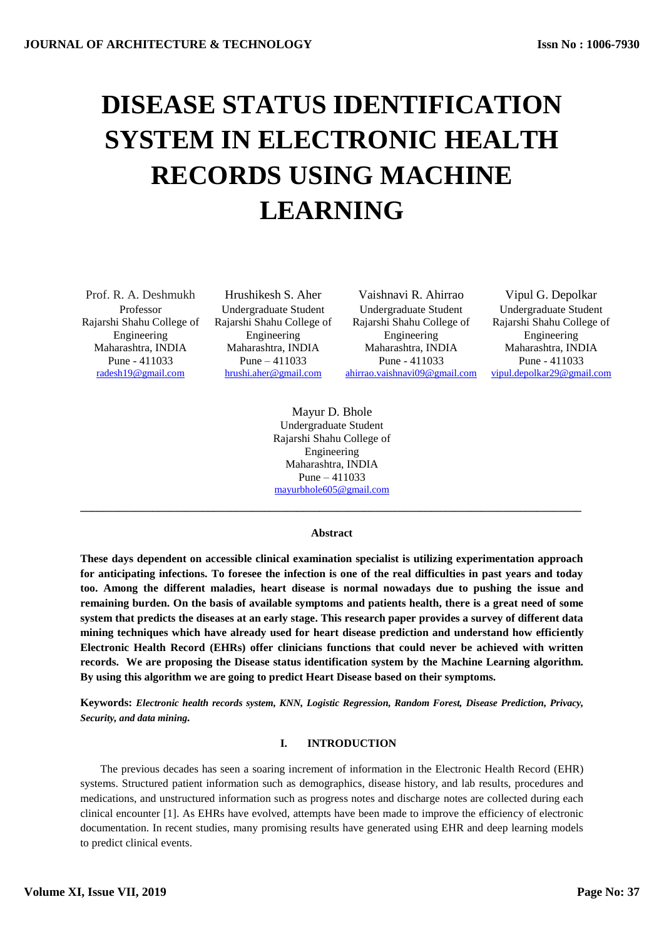# **DISEASE STATUS IDENTIFICATION SYSTEM IN ELECTRONIC HEALTH RECORDS USING MACHINE LEARNING**

Maharashtra, INDIA Pune - 411033

Maharashtra, INDIA Pune – 411033

Prof. R. A. Deshmukh Hrushikesh S. Aher Vaishnavi R. Ahirrao Vipul G. Depolkar Professor Undergraduate Student Undergraduate Student Undergraduate Student Rajarshi Shahu College of Rajarshi Shahu College of Rajarshi Shahu College of Rajarshi Shahu College of Engineering Engineering Engineering Engineering Maharashtra, INDIA Pune - 411033 [radesh19@gmail.com](mailto:radesh19@gmail.com) [hrushi.aher@gmail.com](mailto:hrushi.aher@gmail.com) [ahirrao.vaishnavi09@gmail.com](mailto:ahirrao.vaishnavi09@gmail.com) [vipul.depolkar29@gmail.com](mailto:vipul.depolkar29@gmail.com)

Maharashtra, INDIA Pune - 411033

Mayur D. Bhole Undergraduate Student Rajarshi Shahu College of Engineering Maharashtra, INDIA Pune – 411033 [mayurbhole605@gmail.com](mailto:mayurbhole605@gmail.com)

## **Abstract**

**\_\_\_\_\_\_\_\_\_\_\_\_\_\_\_\_\_\_\_\_\_\_\_\_\_\_\_\_\_\_\_\_\_\_\_\_\_\_\_\_\_\_\_\_\_\_\_\_\_\_\_\_\_\_\_\_\_\_\_\_\_\_\_\_\_\_\_\_\_\_\_\_\_\_\_\_\_\_\_\_\_\_\_\_\_\_\_\_\_\_**

**These days dependent on accessible clinical examination specialist is utilizing experimentation approach for anticipating infections. To foresee the infection is one of the real difficulties in past years and today too. Among the different maladies, heart disease is normal nowadays due to pushing the issue and remaining burden. On the basis of available symptoms and patients health, there is a great need of some system that predicts the diseases at an early stage. This research paper provides a survey of different data mining techniques which have already used for heart disease prediction and understand how efficiently Electronic Health Record (EHRs) offer clinicians functions that could never be achieved with written records. We are proposing the Disease status identification system by the Machine Learning algorithm. By using this algorithm we are going to predict Heart Disease based on their symptoms.** 

**Keywords:** *Electronic health records system, KNN, Logistic Regression, Random Forest, Disease Prediction, Privacy, Security, and data mining.*

#### **I. INTRODUCTION**

The previous decades has seen a soaring increment of information in the Electronic Health Record (EHR) systems. Structured patient information such as demographics, disease history, and lab results, procedures and medications, and unstructured information such as progress notes and discharge notes are collected during each clinical encounter [1]. As EHRs have evolved, attempts have been made to improve the efficiency of electronic documentation. In recent studies, many promising results have generated using EHR and deep learning models to predict clinical events.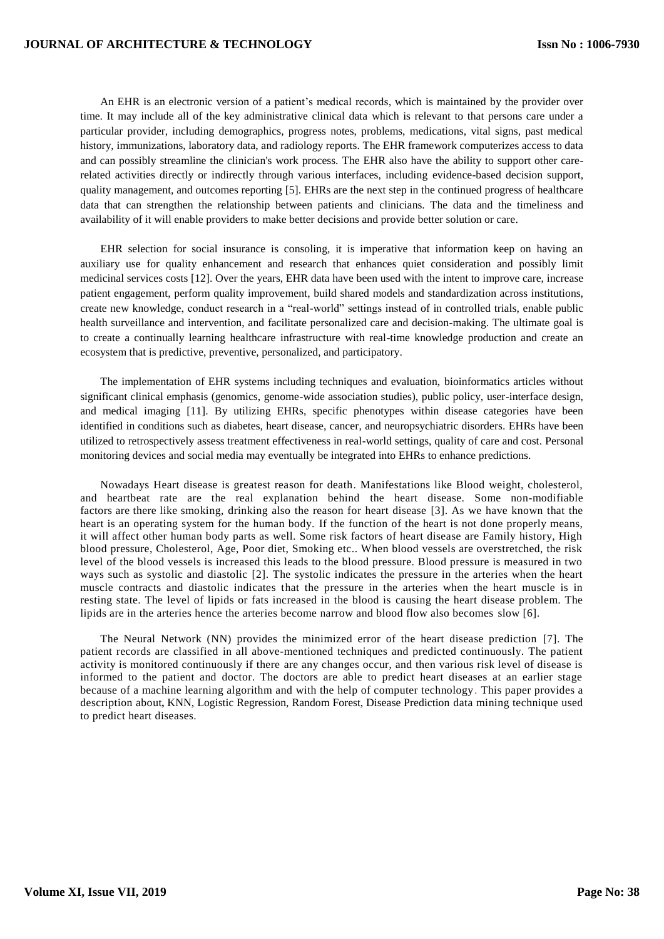An EHR is an electronic version of a patient's medical records, which is maintained by the provider over time. It may include all of the key administrative clinical data which is relevant to that persons care under a particular provider, including demographics, progress notes, problems, medications, vital signs, past medical history, immunizations, laboratory data, and radiology reports. The EHR framework computerizes access to data and can possibly streamline the clinician's work process. The EHR also have the ability to support other carerelated activities directly or indirectly through various interfaces, including evidence-based decision support, quality management, and outcomes reporting [5]. EHRs are the next step in the continued progress of healthcare data that can strengthen the relationship between patients and clinicians. The data and the timeliness and availability of it will enable providers to make better decisions and provide better solution or care.

EHR selection for social insurance is consoling, it is imperative that information keep on having an auxiliary use for quality enhancement and research that enhances quiet consideration and possibly limit medicinal services costs [12]. Over the years, EHR data have been used with the intent to improve care, increase patient engagement, perform quality improvement, build shared models and standardization across institutions, create new knowledge, conduct research in a "real-world" settings instead of in controlled trials, enable public health surveillance and intervention, and facilitate personalized care and decision-making. The ultimate goal is to create a continually learning healthcare infrastructure with real-time knowledge production and create an ecosystem that is predictive, preventive, personalized, and participatory.

The implementation of EHR systems including techniques and evaluation, bioinformatics articles without significant clinical emphasis (genomics, genome-wide association studies), public policy, user-interface design, and medical imaging [11]. By utilizing EHRs, specific phenotypes within disease categories have been identified in conditions such as diabetes, heart disease, cancer, and neuropsychiatric disorders. EHRs have been utilized to retrospectively assess treatment effectiveness in real-world settings, quality of care and cost. Personal monitoring devices and social media may eventually be integrated into EHRs to enhance predictions.

Nowadays Heart disease is greatest reason for death. Manifestations like Blood weight, cholesterol, and heartbeat rate are the real explanation behind the heart disease. Some non-modifiable factors are there like smoking, drinking also the reason for heart disease [3]. As we have known that the heart is an operating system for the human body. If the function of the heart is not done properly means, it will affect other human body parts as well. Some risk factors of heart disease are Family history, High blood pressure, Cholesterol, Age, Poor diet, Smoking etc.. When blood vessels are overstretched, the risk level of the blood vessels is increased this leads to the blood pressure. Blood pressure is measured in two ways such as systolic and diastolic [2]. The systolic indicates the pressure in the arteries when the heart muscle contracts and diastolic indicates that the pressure in the arteries when the heart muscle is in resting state. The level of lipids or fats increased in the blood is causing the heart disease problem. The lipids are in the arteries hence the arteries become narrow and blood flow also becomes slow [6].

The Neural Network (NN) provides the minimized error of the heart disease prediction [7]. The patient records are classified in all above-mentioned techniques and predicted continuously. The patient activity is monitored continuously if there are any changes occur, and then various risk level of disease is informed to the patient and doctor. The doctors are able to predict heart diseases at an earlier stage because of a machine learning algorithm and with the help of computer technology. This paper provides a description about*,* KNN, Logistic Regression, Random Forest, Disease Prediction data mining technique used to predict heart diseases.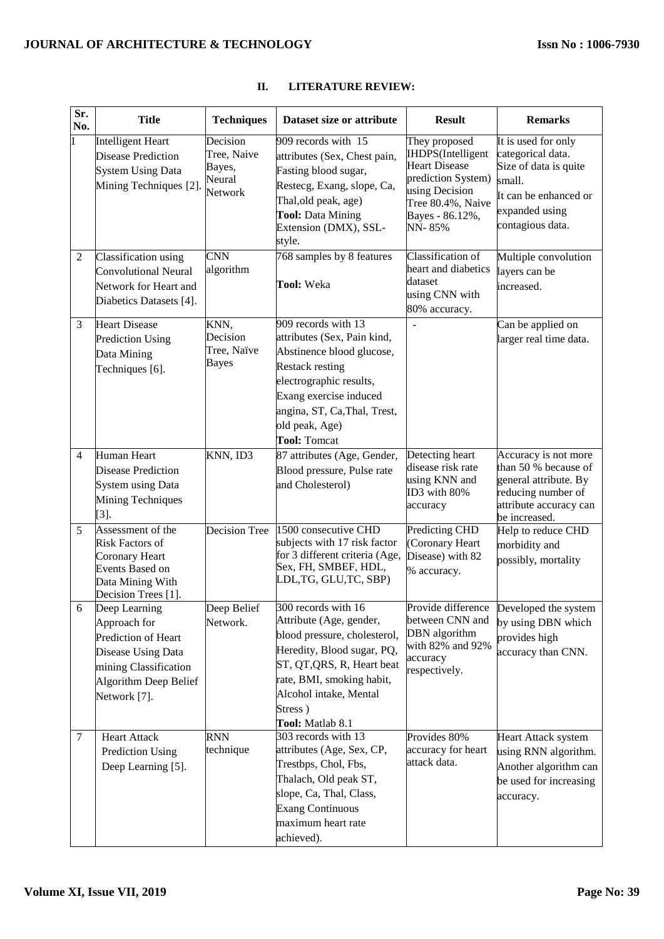| Sr.<br>No.     | <b>Title</b>                                                                                                                                 | <b>Techniques</b>                                      | Dataset size or attribute                                                                                                                                                                                                               | <b>Result</b>                                                                                                                                        | <b>Remarks</b>                                                                                                                             |
|----------------|----------------------------------------------------------------------------------------------------------------------------------------------|--------------------------------------------------------|-----------------------------------------------------------------------------------------------------------------------------------------------------------------------------------------------------------------------------------------|------------------------------------------------------------------------------------------------------------------------------------------------------|--------------------------------------------------------------------------------------------------------------------------------------------|
| 1              | Intelligent Heart<br><b>Disease Prediction</b><br><b>System Using Data</b><br>Mining Techniques [2].                                         | Decision<br>Tree, Naive<br>Bayes,<br>Neural<br>Network | 909 records with 15<br>attributes (Sex, Chest pain,<br>Fasting blood sugar,<br>Restecg, Exang, slope, Ca,<br>Thal, old peak, age)<br><b>Tool: Data Mining</b><br>Extension (DMX), SSL-<br>style.                                        | They proposed<br>IHDPS(Intelligent<br><b>Heart Disease</b><br>prediction System)<br>using Decision<br>Tree 80.4%, Naive<br>Bayes - 86.12%,<br>NN-85% | It is used for only<br>categorical data.<br>Size of data is quite<br>small.<br>It can be enhanced or<br>expanded using<br>contagious data. |
| $\overline{2}$ | Classification using<br><b>Convolutional Neural</b><br>Network for Heart and<br>Diabetics Datasets [4].                                      | <b>CNN</b><br>algorithm                                | 768 samples by 8 features<br>Tool: Weka                                                                                                                                                                                                 | Classification of<br>heart and diabetics<br>dataset<br>using CNN with<br>80% accuracy.                                                               | Multiple convolution<br>layers can be<br>increased.                                                                                        |
| 3              | <b>Heart Disease</b><br><b>Prediction Using</b><br>Data Mining<br>Techniques [6].                                                            | KNN,<br>Decision<br>Tree, Naïve<br><b>Bayes</b>        | 909 records with 13<br>attributes (Sex, Pain kind,<br>Abstinence blood glucose,<br><b>Restack resting</b><br>electrographic results,<br>Exang exercise induced<br>angina, ST, Ca, Thal, Trest,<br>old peak, Age)<br><b>Tool: Tomcat</b> | $\overline{\phantom{a}}$                                                                                                                             | Can be applied on<br>larger real time data.                                                                                                |
| 4              | Human Heart<br><b>Disease Prediction</b><br><b>System using Data</b><br>Mining Techniques<br>$[3]$ .                                         | KNN, ID3                                               | 87 attributes (Age, Gender,<br>Blood pressure, Pulse rate<br>and Cholesterol)                                                                                                                                                           | Detecting heart<br>disease risk rate<br>using KNN and<br>ID3 with 80%<br>accuracy                                                                    | Accuracy is not more<br>than 50 % because of<br>general attribute. By<br>reducing number of<br>attribute accuracy can<br>be increased.     |
| 5              | Assessment of the<br><b>Risk Factors of</b><br><b>Coronary Heart</b><br>Events Based on<br>Data Mining With<br>Decision Trees [1].           | <b>Decision Tree</b>                                   | 1500 consecutive CHD<br>subjects with 17 risk factor<br>for 3 different criteria (Age,<br>Sex, FH, SMBEF, HDL,<br>LDL,TG, GLU,TC, SBP)                                                                                                  | Predicting CHD<br>Coronary Heart<br>Disease) with 82<br>% accuracy.                                                                                  | Help to reduce CHD<br>morbidity and<br>possibly, mortality                                                                                 |
| 6              | Deep Learning<br>Approach for<br>Prediction of Heart<br>Disease Using Data<br>mining Classification<br>Algorithm Deep Belief<br>Network [7]. | Deep Belief<br>Network.                                | 300 records with 16<br>Attribute (Age, gender,<br>blood pressure, cholesterol,<br>Heredity, Blood sugar, PQ,<br>ST, QT, QRS, R, Heart beat<br>rate, BMI, smoking habit,<br>Alcohol intake, Mental<br>Stress)<br>Tool: Matlab 8.1        | Provide difference<br>between CNN and<br>DBN algorithm<br>with 82% and 92%<br>accuracy<br>respectively.                                              | Developed the system<br>by using DBN which<br>provides high<br>accuracy than CNN.                                                          |
| $\tau$         | <b>Heart Attack</b><br>Prediction Using<br>Deep Learning [5].                                                                                | <b>RNN</b><br>technique                                | 303 records with 13<br>attributes (Age, Sex, CP,<br>Trestbps, Chol, Fbs,<br>Thalach, Old peak ST,<br>slope, Ca, Thal, Class,<br><b>Exang Continuous</b><br>maximum heart rate<br>achieved).                                             | Provides 80%<br>accuracy for heart<br>attack data.                                                                                                   | Heart Attack system<br>using RNN algorithm.<br>Another algorithm can<br>be used for increasing<br>accuracy.                                |

## **II. LITERATURE REVIEW:**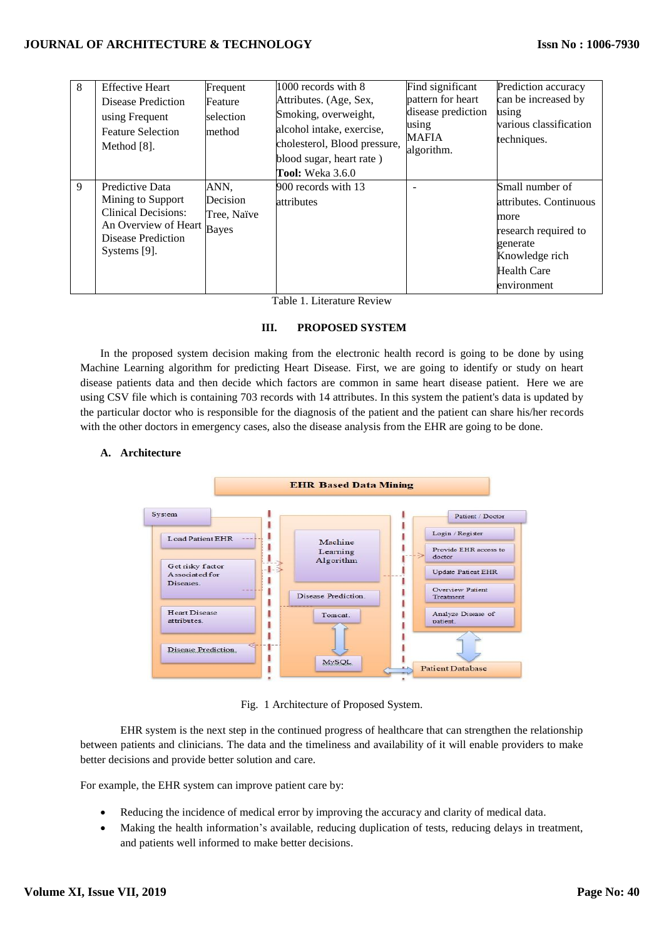# **JOURNAL OF ARCHITECTURE & TECHNOLOGY**

| 8 | <b>Effective Heart</b><br>Disease Prediction<br>using Frequent<br><b>Feature Selection</b><br>Method $[8]$ .                           | Frequent<br>Feature<br>selection<br>method | 1000 records with 8<br>Attributes. (Age, Sex,<br>Smoking, overweight,<br>alcohol intake, exercise,<br>cholesterol, Blood pressure,<br>blood sugar, heart rate) | Find significant<br>pattern for heart<br>disease prediction<br>using<br><b>MAFIA</b><br>algorithm. | Prediction accuracy<br>can be increased by<br>using<br>various classification<br>techniques.                                                 |
|---|----------------------------------------------------------------------------------------------------------------------------------------|--------------------------------------------|----------------------------------------------------------------------------------------------------------------------------------------------------------------|----------------------------------------------------------------------------------------------------|----------------------------------------------------------------------------------------------------------------------------------------------|
| 9 | Predictive Data<br>Mining to Support<br>Clinical Decisions:<br>An Overview of Heart Bayes<br><b>Disease Prediction</b><br>Systems [9]. | ANN,<br>Decision<br>Tree, Naïve            | <b>Tool:</b> Weka 3.6.0<br>900 records with 13<br>attributes                                                                                                   |                                                                                                    | Small number of<br>attributes. Continuous<br>more<br>research required to<br>generate<br>Knowledge rich<br><b>Health Care</b><br>environment |

Table 1. Literature Review

## **III. PROPOSED SYSTEM**

In the proposed system decision making from the electronic health record is going to be done by using Machine Learning algorithm for predicting Heart Disease. First, we are going to identify or study on heart disease patients data and then decide which factors are common in same heart disease patient. Here we are using CSV file which is containing 703 records with 14 attributes. In this system the patient's data is updated by the particular doctor who is responsible for the diagnosis of the patient and the patient can share his/her records with the other doctors in emergency cases, also the disease analysis from the EHR are going to be done.

## **A. Architecture**



Fig. 1 Architecture of Proposed System.

EHR system is the next step in the continued progress of healthcare that can strengthen the relationship between patients and clinicians. The data and the timeliness and availability of it will enable providers to make better decisions and provide better solution and care.

For example, the EHR system can improve patient care by:

- Reducing the incidence of medical error by improving the accuracy and clarity of medical data.
- Making the health information's available, reducing duplication of tests, reducing delays in treatment, and patients well informed to make better decisions.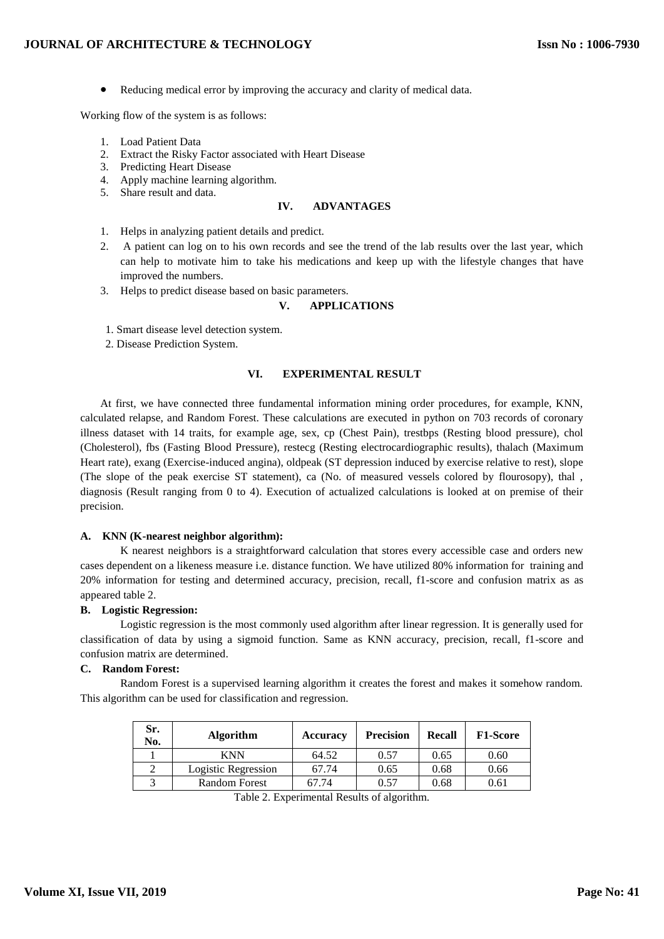Reducing medical error by improving the accuracy and clarity of medical data.

Working flow of the system is as follows:

- 1. Load Patient Data
- 2. Extract the Risky Factor associated with Heart Disease
- 3. Predicting Heart Disease
- 4. Apply machine learning algorithm.
- 5. Share result and data.

#### **IV. ADVANTAGES**

- 1. Helps in analyzing patient details and predict.
- 2. A patient can log on to his own records and see the trend of the lab results over the last year, which can help to motivate him to take his medications and keep up with the lifestyle changes that have improved the numbers.
- 3. Helps to predict disease based on basic parameters.

#### **V. APPLICATIONS**

- 1. Smart disease level detection system.
- 2. Disease Prediction System.

## **VI. EXPERIMENTAL RESULT**

At first, we have connected three fundamental information mining order procedures, for example, KNN, calculated relapse, and Random Forest. These calculations are executed in python on 703 records of coronary illness dataset with 14 traits, for example age, sex, cp (Chest Pain), trestbps (Resting blood pressure), chol (Cholesterol), fbs (Fasting Blood Pressure), restecg (Resting electrocardiographic results), thalach (Maximum Heart rate), exang (Exercise-induced angina), oldpeak (ST depression induced by exercise relative to rest), slope (The slope of the peak exercise ST statement), ca (No. of measured vessels colored by flourosopy), thal , diagnosis (Result ranging from 0 to 4). Execution of actualized calculations is looked at on premise of their precision.

#### **A. KNN (K-nearest neighbor algorithm):**

K nearest neighbors is a straightforward calculation that stores every accessible case and orders new cases dependent on a likeness measure i.e. distance function. We have utilized 80% information for training and 20% information for testing and determined accuracy, precision, recall, f1-score and confusion matrix as as appeared table 2.

#### **B. Logistic Regression:**

Logistic regression is the most commonly used algorithm after linear regression. It is generally used for classification of data by using a sigmoid function. Same as KNN accuracy, precision, recall, f1-score and confusion matrix are determined.

## **C. Random Forest:**

Random Forest is a supervised learning algorithm it creates the forest and makes it somehow random. This algorithm can be used for classification and regression.

| Sr.<br>No. | <b>Algorithm</b>     | <b>Accuracy</b> | <b>Precision</b> | <b>Recall</b> | <b>F1-Score</b> |
|------------|----------------------|-----------------|------------------|---------------|-----------------|
|            | <b>KNN</b>           | 64.52           | 0.57             | 0.65          | 0.60            |
|            | Logistic Regression  | 67.74           | 0.65             | 0.68          | 0.66            |
|            | <b>Random Forest</b> | 57.74           | 0.57             | 0.68          | 0.61            |

Table 2. Experimental Results of algorithm.